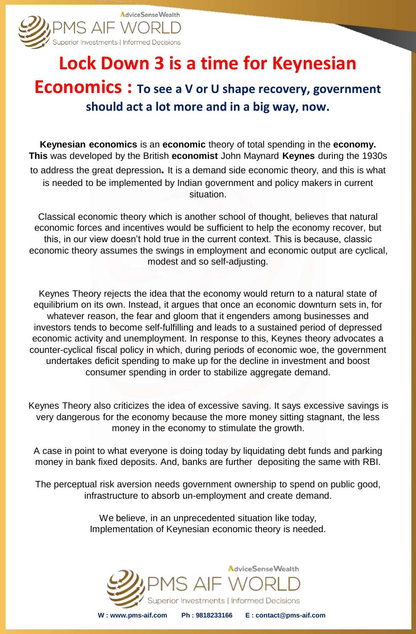

# **Lock Down 3 is a time for Keynesian**

## **Economics : To see a V or U shape recovery, government should act a lot more and in a big way, now.**

**Keynesian economics** is an **economic** theory of total spending in the **economy. This** was developed by the British **economist** John Maynard **Keynes** during the 1930s to address the great depression**.** It is a demand side economic theory, and this is what is needed to be implemented by Indian government and policy makers in current situation.

Classical economic theory which is another school of thought, believes that natural economic forces and incentives would be sufficient to help the economy recover, but this, in our view doesn't hold true in the current context. This is because, classic economic theory assumes the swings in employment and economic output are cyclical, modest and so self-adjusting.

Keynes Theory rejects the idea that the economy would return to a natural state of equilibrium on its own. Instead, it argues that once an economic downturn sets in, for whatever reason, the fear and gloom that it engenders among businesses and investors tends to become self-fulfilling and leads to a sustained period of depressed economic activity and unemployment. In response to this, Keynes theory advocates a counter-cyclical fiscal policy in which, during periods of economic woe, the government undertakes deficit spending to make up for the decline in investment and boost consumer spending in order to stabilize aggregate demand.

Keynes Theory also criticizes the idea of excessive saving. It says excessive savings is very dangerous for the economy because the more money sitting stagnant, the less money in the economy to stimulate the growth.

A case in point to what everyone is doing today by liquidating debt funds and parking money in bank fixed deposits. And, banks are further depositing the same with RBI.

The perceptual risk aversion needs government ownership to spend on public good, infrastructure to absorb un-employment and create demand.

> We believe, in an unprecedented situation like today, Implementation of Keynesian economic theory is needed.

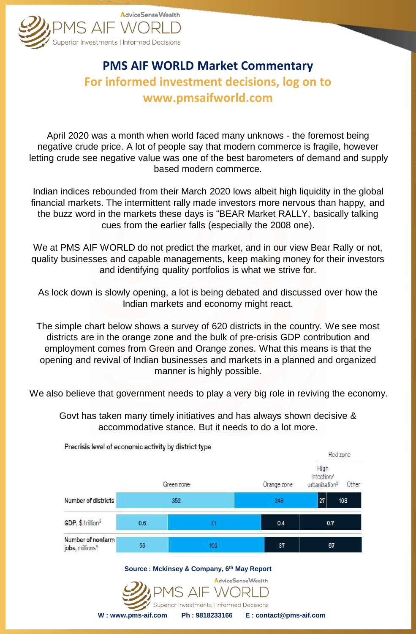

## **PMS AIF WORLD Market Commentary For informed investment decisions, log on to www.pmsaifworld.com**

April 2020 was a month when world faced many unknows - the foremost being negative crude price. A lot of people say that modern commerce is fragile, however letting crude see negative value was one of the best barometers of demand and supply based modern commerce.

Indian indices rebounded from their March 2020 lows albeit high liquidity in the global financial markets. The intermittent rally made investors more nervous than happy, and the buzz word in the markets these days is "BEAR Market RALLY, basically talking cues from the earlier falls (especially the 2008 one).

We at PMS AIF WORLD do not predict the market, and in our view Bear Rally or not, quality businesses and capable managements, keep making money for their investors and identifying quality portfolios is what we strive for.

As lock down is slowly opening, a lot is being debated and discussed over how the Indian markets and economy might react.

The simple chart below shows a survey of 620 districts in the country. We see most districts are in the orange zone and the bulk of pre-crisis GDP contribution and employment comes from Green and Orange zones. What this means is that the opening and revival of Indian businesses and markets in a planned and organized manner is highly possible.

We also believe that government needs to play a very big role in reviving the economy.

Govt has taken many timely initiatives and has always shown decisive & accommodative stance. But it needs to do a lot more.

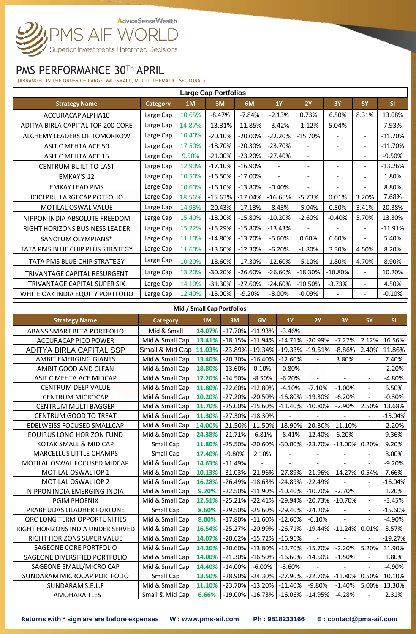# AdviceSenseWealth PMS AIF WORLD

## PMS PERFORMANCE 30Th APRIL

(ARRANGED IN THE ORDER OF LARGE, MID-SMALL, MULTI, THEMATIC, SECTORAL)

| <b>Large Cap Portfolios</b>        |                 |        |            |           |                |                          |                          |                          |           |  |  |
|------------------------------------|-----------------|--------|------------|-----------|----------------|--------------------------|--------------------------|--------------------------|-----------|--|--|
| <b>Strategy Name</b>               | <b>Category</b> | 1M     | 3M         | 6M        | <b>1Y</b>      | 2Y                       | <b>3Y</b>                | <b>5Y</b>                | <b>SI</b> |  |  |
| ACCURACAP ALPHA10                  | Large Cap       | 10.65% | $-8.47%$   | $-7.84%$  | $-2.13%$       | 0.73%                    | 6.50%                    | 8.31%                    | 13.08%    |  |  |
| ADITYA BIRLA CAPITAL TOP 200 CORE  | Large Cap       | 14.87% | $-13.31%$  | $-11.85%$ | $-3.42%$       | $-1.12%$                 | 5.04%                    | $\overline{\phantom{0}}$ | 7.93%     |  |  |
| ALCHEMY LEADERS OF TOMORROW        | Large Cap       | 10.40% | $-20.10%$  | $-20.00%$ | $-22.20%$      | $-15.70%$                | $\overline{\phantom{a}}$ | $\sim$                   | $-11.70%$ |  |  |
| ASIT C MEHTA ACE 50                | Large Cap       | 17.50% | $-18.70%$  | $-20.30%$ | $-23.70%$      |                          |                          | $\blacksquare$           | $-11.70%$ |  |  |
| <b>ASIT C MEHTA ACE 15</b>         | Large Cap       | 9.50%  | $-21.00%$  | $-23.20%$ | $-27.40%$      | $\overline{\phantom{a}}$ |                          | $\blacksquare$           | $-9.50%$  |  |  |
| CENTRUM BUILT TO LAST              | Large Cap       | 12.90% | $-17.10%$  | $-16.90%$ |                | $\overline{\phantom{a}}$ |                          | $\sim$                   | $-13.26%$ |  |  |
| <b>EMKAY'S 12</b>                  | Large Cap       | 10.50% | $-16.50%$  | $-17.00%$ | $\overline{a}$ | $\blacksquare$           | $\blacksquare$           |                          | 1.80%     |  |  |
| <b>EMKAY LEAD PMS</b>              | Large Cap       | 10.60% | $-16.10%$  | $-13.80%$ | $-0.40%$       | $\blacksquare$           | $\overline{\phantom{a}}$ | $\blacksquare$           | 8.80%     |  |  |
| <b>ICICI PRU LARGECAP POTFOLIO</b> | Large Cap       | 18.56% | $-15.63%$  | $-17.04%$ | $-16.65%$      | $-5.73%$                 | 0.01%                    | 3.20%                    | 7.68%     |  |  |
| <b>MOTILAL OSWAL VALUE</b>         | Large Cap       | 14.93% | $-20.43%$  | $-17.13%$ | $-8.43%$       | $-5.04%$                 | 0.50%                    | 3.41%                    | 20.38%    |  |  |
| NIPPON INDIA ABSOLUTE FREEDOM      | Large Cap       | 15.40% | $-18.00%$  | $-15.80%$ | $-10.20%$      | $-2.60%$                 | $-0.40%$                 | 5.70%                    | 13.30%    |  |  |
| RIGHT HORIZONS BUSINESS LEADER     | Large Cap       | 15.22% | $-15.29%$  | $-15.80%$ | $-13.43%$      |                          |                          |                          | $-11.91%$ |  |  |
| SANCTUM OLYMPIANS*                 | Large Cap       | 11.10% | $-14.80%$  | $-13.70%$ | $-5.60%$       | 0.60%                    | 6.60%                    | $\blacksquare$           | 5.40%     |  |  |
| TATA PMS BLUE CHIP PLUS STRATEGY   | Large Cap       | 11.60% | $-13.60%$  | $-12.30%$ | $-6.20%$       | $-1.80%$                 | 3.30%                    | 4.50%                    | 8.20%     |  |  |
| TATA PMS BLUE CHIP STRATEGY        | Large Cap       | 10.20% | $-18.60\%$ | $-17.30%$ | $-12.60%$      | $-5.10%$                 | 1.80%                    | 4.70%                    | 8.90%     |  |  |
| TRIVANTAGE CAPITAL RESURGENT       | Large Cap       | 13.20% | $-30.20%$  | $-26.60%$ | $-26.60%$      | $-18.30%$                | $-10.80%$                | $\blacksquare$           | 10.20%    |  |  |
| TRIVANTAGE CAPITAL SUPER SIX       | Large Cap       | 14.10% | $-31.30%$  | $-27.60%$ | $-24.60%$      | $-10.50%$                | $-3.73%$                 | $\blacksquare$           | 4.50%     |  |  |
| WHITE OAK INDIA EQUITY PORTFOLIO   | Large Cap       | 12.40% | $-15.00%$  | $-9.20%$  | $-3.00%$       | $-0.09%$                 |                          |                          | $-0.10%$  |  |  |
|                                    |                 |        |            |           |                |                          |                          |                          |           |  |  |

#### **Mid / Small Cap Portfolios**

| <b>Strategy Name</b>               | <b>Category</b> | 1M     | 3M         | 6M                    | <b>1Y</b>      | <b>2Y</b>      | <b>3Y</b>                | <b>5Y</b>      | SI        |
|------------------------------------|-----------------|--------|------------|-----------------------|----------------|----------------|--------------------------|----------------|-----------|
| ABANS SMART BETA PORTFOLIO         | Mid & Small     | 14.07% |            | $-17.70\%$ $-11.93\%$ | $-3.46%$       |                |                          |                |           |
| <b>ACCURACAP PICO POWER</b>        | Mid & Small Cap | 13.41% | $-18.15%$  | $-11.94%$             | $-14.71%$      | $-20.99%$      | $-7.27%$                 | 2.12%          | 16.56%    |
| ADITYA BIRLA CAPITAL SSP           | Small & Mid Cap | 11.03% |            | $-23.89\%$ $-19.34\%$ | $-19.33%$      | $-19.51%$      | $-8.86%$                 | 2.40%          | 11.86%    |
| <b>AMBIT EMERGING GIANTS</b>       | Mid & Small Cap | 13.40% | $-20.30%$  | $-16.40%$             | $-12.60%$      |                | 3.80%                    |                | 7.40%     |
| AMBIT GOOD AND CLEAN               | Mid & Small Cap | 18.80% | $-13.60%$  | 0.10%                 | $-0.80%$       | $\blacksquare$ | $\overline{\phantom{a}}$ | $\blacksquare$ | $-2.20%$  |
| ASIT C MEHTA ACE MIDCAP            | Mid & Small Cap | 17.20% | $-14.50%$  | $-8.50%$              | $-6.20%$       |                |                          | $\blacksquare$ | $-4.80%$  |
| <b>CENTRUM DEEP VALUE</b>          | Mid & Small Cap | 11.80% | $-22.60\%$ | $-12.80%$             | $-4.10%$       | $-7.10%$       | $-1.00%$                 | $\blacksquare$ | 6.50%     |
| <b>CENTRUM MICROCAP</b>            | Mid & Small Cap | 10.20% | $-27.20%$  | $-20.50%$             | $-16.80%$      | $-19.30%$      | $-6.20%$                 |                | $-0.30%$  |
| <b>CENTRUM MULTI BAGGER</b>        | Mid & Small Cap | 11.70% | $-25.00\%$ | $-15.60%$             | $-11.40%$      | $-10.80%$      | $-2.90%$                 | 2.50%          | 13.68%    |
| <b>CENTRUM GOOD TO TREAT</b>       | Mid & Small Cap | 11.30% | $-27.30\%$ | $-18.30%$             | $\blacksquare$ | ÷,             | $\overline{a}$           | $\blacksquare$ | $-15.04%$ |
| EDELWEISS FOCUSED SMALLCAP         | Mid & Small Cap | 14.00% |            | $-21.50\%$ $-11.50\%$ | $-18.90%$      | $-20.30%$      | $-11.10\%$               |                | $-2.20%$  |
| <b>EQUIRUS LONG HORIZON FUND</b>   | Mid & Small Cap | 24.38% | $-21.71%$  | $-6.81%$              | $-8.41%$       | $-12.40%$      | 6.20%                    |                | 9.36%     |
| KOTAK SMALL & MID CAP              | Small Cap       | 11.80% | $-25.50\%$ | $-20.60%$             | $-30.00\%$     | $-23.70%$      | $-13.00\%$ 0.20%         |                | 9.20%     |
| <b>MARCELLUS LITTLE CHAMPS</b>     | Small Cap       | 17.40% | $-9.80%$   | 2.10%                 |                |                |                          |                | 8.00%     |
| MOTILAL OSWAL FOCUSED MIDCAP       | Mid & Small Cap | 14.63% | $-11.49%$  |                       |                |                |                          |                | $-9.20%$  |
| MOTILAL OSWAL IOP 1                | Mid & Small Cap | 10.13% | $-31.03%$  | $-21.96%$             | $-27.89%$      | $-21.96%$      | $-14.27%$                | 0.54%          | 7.66%     |
| MOTILAL OSWAL IOP 2                | Mid & Small Cap | 16.28% | $-26.49%$  | $-18.63%$             | $-24.89%$      | $-22.49%$      |                          |                | $-16.04%$ |
| NIPPON INDIA EMERGING INDIA        | Mid & Small Cap | 9.70%  | $-22.50\%$ | $-11.90%$             | $-10.40%$      | $-10.70%$      | $-2.70%$                 |                | 1.20%     |
| <b>PGIM PHOENIX</b>                | Mid & Small Cap | 12.51% | $-25.21%$  | $-22.41%$             | $-29.94%$      | $-20.73%$      | $-10.70%$                | $\blacksquare$ | $-3.45%$  |
| PRABHUDAS LILADHER FORTUNE         | Small Cap       | 8.60%  | $-29.50\%$ | $-25.60%$             | $-29.40%$      | $-24.20%$      | $\blacksquare$           | $\blacksquare$ | $-15.60%$ |
| <b>QRC LONG TERM OPPORTUNITIES</b> | Mid & Small Cap | 8.00%  | $-17.80\%$ | $-11.60%$             | $-12.60%$      | $-6.10%$       | $\mathbf{u}$             | $\blacksquare$ | $-4.90%$  |
| RIGHT HORIZONS INDIA UNDER SERVED  | Mid & Small Cap | 16.54% | $-25.27%$  | $-20.99%$             | $-26.71%$      | $-19.44%$      | $-11.24\%$ 0.01%         |                | 8.57%     |
| RIGHT HORIZONS SUPER VALUE         | Mid & Small Cap | 14.07% | $-20.62%$  | $-15.72%$             | $-16.96%$      | ÷,             |                          |                | $-19.27%$ |
| SAGEONE CORE PORTFOLIO             | Mid & Small Cap | 14.20% | $-20.60\%$ | $-13.80%$             | $-12.70\%$     | $-15.70%$      | $-2.20%$                 | 5.20%          | 31.90%    |
| SAGEONE DIVERSIFIED PORTFOLIO      | Mid & Small Cap | 14.00% | $-21.30\%$ | $-16.50%$             | $-16.60%$      | $-14.50%$      | $-1.50%$                 |                | 1.80%     |
| SAGEONE SMALL/MICRO CAP            | Mid & Small Cap | 14.40% | $-14.00%$  | $-6.00%$              | $-3.60%$       |                |                          |                | $-4.90%$  |
| SUNDARAM MICROCAP PORTFOLIO        | Small Cap       | 13.50% | $-28.90\%$ | $-24.30%$             | $-27.90%$      | $-22.70%$      | $-11.80%$                | 0.50%          | 10.10%    |
| SUNDARAM S.E.L.F                   | Mid & Small Cap | 11.10% | $-23.70%$  | $-13.20%$             | $-11.40%$      | $-9.80%$       | $-1.40%$                 | 5.00%          | 13.30%    |
| <b>TAMOHARA TLES</b>               | Small & Mid Cap | 6.66%  | $-19.00\%$ | $-16.73%$             | $-16.06\%$     | $-14.95%$      | $-4.28%$                 |                | 2.31%     |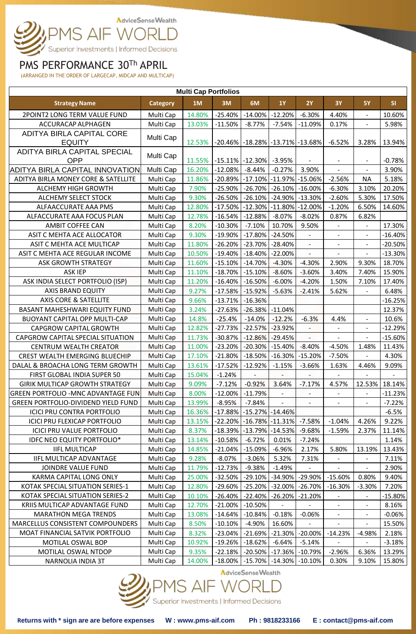

### PMS PERFORMANCE 30Th APRIL

(ARRANGED IN THE ORDER OF LARGECAP, MIDCAP AND MULTICAP)

| <b>Multi Cap Portfolios</b>                          |                 |                  |            |                                             |                          |                          |                          |                          |                   |  |  |
|------------------------------------------------------|-----------------|------------------|------------|---------------------------------------------|--------------------------|--------------------------|--------------------------|--------------------------|-------------------|--|--|
| <b>Strategy Name</b>                                 | <b>Category</b> | 1M               | 3M         | 6M                                          | <b>1Y</b>                | <b>2Y</b>                | <b>3Y</b>                | <b>5Y</b>                | SI                |  |  |
| 2POINT2 LONG TERM VALUE FUND                         | Multi Cap       | 14.80%           | $-25.40%$  | $-14.00%$                                   | $-12.20%$                | $-6.30%$                 | 4.40%                    | $\blacksquare$           | 10.60%            |  |  |
| ACCURACAP ALPHAGEN                                   | Multi Cap       | 13.03%           | $-11.50%$  | $-8.77%$                                    | $-7.54%$                 | $-11.09%$                | 0.17%                    | $\blacksquare$           | 5.98%             |  |  |
| ADITYA BIRLA CAPITAL CORE                            | Multi Cap       |                  |            |                                             |                          |                          |                          |                          |                   |  |  |
| <b>EQUITY</b>                                        |                 | 12.53%           |            | $-20.46\%$ $-18.28\%$ $-13.71\%$ $-13.68\%$ |                          |                          | $-6.52%$                 | 3.28%                    | 13.94%            |  |  |
| ADITYA BIRLA CAPITAL SPECIAL                         | Multi Cap       |                  |            | $-15.11\%$ $-12.30\%$                       |                          |                          |                          |                          |                   |  |  |
| <b>OPP</b><br><b>ADITYA BIRLA CAPITAL INNOVATION</b> | Multi Cap       | 11.55%<br>16.20% | $-12.08%$  | $-8.44%$                                    | $-3.95%$<br>$-0.27%$     | 3.90%                    | $\overline{\phantom{a}}$ | $\overline{\phantom{a}}$ | $-0.78%$<br>3.90% |  |  |
| ADITYA BIRLA MONEY CORE & SATELLITE                  | Multi Cap       | 11.86%           | $-20.89%$  | -17.10%   -11.97%   -15.06%                 |                          |                          | $-2.56%$                 | <b>NA</b>                | 5.18%             |  |  |
| <b>ALCHEMY HIGH GROWTH</b>                           | Multi Cap       | 7.90%            | -25.90%    | $-26.70%$                                   | $-26.10\%$               | $-16.00%$                | $-6.30%$                 | 3.10%                    | 20.20%            |  |  |
| ALCHEMY SELECT STOCK                                 | Multi Cap       | 9.30%            | $-26.50%$  | $-26.10%$                                   | $-24.90\%$               | $-13.30%$                | $-2.60%$                 | 5.30%                    | 17.50%            |  |  |
| ALFAACCURATE AAA PMS                                 | Multi Cap       | 12.80%           | $-17.50%$  | $-12.30\%$ $-11.80\%$ $-12.00\%$            |                          |                          | $-1.20%$                 | 6.50%                    | 14.60%            |  |  |
| ALFACCURATE AAA FOCUS PLAN                           | Multi Cap       | 12.78%           | $-16.54%$  | $-12.88%$                                   | $-8.07%$                 | $-8.02%$                 | 0.87%                    | 6.82%                    |                   |  |  |
| AMBIT COFFEE CAN                                     | Multi Cap       | 8.20%            | $-10.30%$  | $-7.10%$                                    | 10.70%                   | 9.50%                    | $\frac{1}{2}$            | $\blacksquare$           | 17.30%            |  |  |
| ASIT C MEHTA ACE ALLOCATOR                           | Multi Cap       | 9.30%            | $-19.90%$  | $-17.80%$                                   | $-24.50%$                |                          |                          | $\blacksquare$           | $-16.40%$         |  |  |
| ASIT C MEHTA ACE MULTICAP                            | Multi Cap       | 11.80%           | $-26.20%$  | $-23.70%$                                   | $-28.40%$                | $\blacksquare$           |                          | $\blacksquare$           | $-20.50%$         |  |  |
| ASIT C MEHTA ACE REGULAR INCOME                      | Multi Cap       | 10.50%           | $-19.40%$  | $-18.40%$                                   | $-22.00%$                | $\overline{\phantom{a}}$ | $\overline{\phantom{a}}$ | $\blacksquare$           | $-13.30%$         |  |  |
| ASK GROWTH STRATEGY                                  | Multi Cap       | 11.60%           | $-15.10%$  | $-14.70%$                                   | $-4.30%$                 | $-4.30%$                 | 2.90%                    | 9.30%                    | 18.70%            |  |  |
| <b>ASK IEP</b>                                       | Multi Cap       | 11.10%           | $-18.70%$  | $-15.10%$                                   | $-8.60%$                 | $-3.60%$                 | 3.40%                    | 7.40%                    | 15.90%            |  |  |
| ASK INDIA SELECT PORTFOLIO (ISP)                     | Multi Cap       | 11.20%           | $-16.40%$  | $-16.50%$                                   | $-6.00%$                 | $-4.20%$                 | 1.50%                    | 7.10%                    | 17.40%            |  |  |
| <b>AXIS BRAND EQUITY</b>                             | Multi Cap       | 9.27%            | $-17.58%$  | $-15.92%$                                   | $-5.63%$                 | $-2.41%$                 | 5.62%                    |                          | 6.48%             |  |  |
| <b>AXIS CORE &amp; SATELLITE</b>                     | Multi Cap       | 9.66%            | $-13.71%$  | $-16.36%$                                   |                          |                          |                          |                          | $-16.25%$         |  |  |
| BASANT MAHESHWARI EQUITY FUND                        | Multi Cap       | 3.24%            | $-27.63%$  | $-26.38%$                                   | $-11.04%$                |                          |                          |                          | 12.37%            |  |  |
| <b>BUOYANT CAPITAL OPP MULTI-CAP</b>                 | Multi Cap       | 14.8%            | $-25.4%$   | $-14.0%$                                    | $-12.2%$                 | $-6.3%$                  | 4.4%                     | $\overline{\phantom{a}}$ | 10.6%             |  |  |
| CAPGROW CAPITAL GROWTH                               | Multi Cap       | 12.82%           | $-27.73%$  | $-22.57%$                                   | $-23.92%$                | $\blacksquare$           |                          | $\blacksquare$           | $-12.29%$         |  |  |
| CAPGROW CAPITAL SPECIAL SITUATION                    | Multi Cap       | 11.73%           | $-30.87%$  | $-12.86%$                                   | $-29.45%$                | $\blacksquare$           | $\blacksquare$           |                          | $-15.60%$         |  |  |
| CENTRUM WEALTH CREATOR                               | Multi Cap       | 11.00%           | $-23.20%$  | $-20.30%$                                   | $-15.40%$                | $-8.40%$                 | $-4.50%$                 | 1.48%                    | 11.43%            |  |  |
| <b>CREST WEALTH EMERGING BLUECHIP</b>                | Multi Cap       | 17.10%           | $-21.80%$  | $-18.50%$                                   | $-16.30%$                | $-15.20%$                | $-7.50%$                 | $\omega$                 | 4.30%             |  |  |
| DALAL & BROACHA LONG TERM GROWTH                     | Multi Cap       | 13.61%           | $-17.52%$  | $-12.92%$                                   | $-1.15%$                 | $-3.66%$                 | 1.63%                    | 4.46%                    | 9.09%             |  |  |
| FIRST GLOBAL INDIA SUPER 50                          | Multi Cap       | 15.04%           | $-1.24%$   |                                             |                          |                          |                          |                          |                   |  |  |
| <b>GIRIK MULTICAP GROWTH STRATEGY</b>                | Multi Cap       | 9.09%            | $-7.12%$   | $-0.92%$                                    | 3.64%                    | $-7.17%$                 | 4.57%                    |                          | 12.53% 18.14%     |  |  |
| <b>GREEN PORTFOLIO -MNC ADVANTAGE FUN</b>            | Multi Cap       | 8.00%            | $-12.00\%$ | $-11.79%$                                   | $\overline{\phantom{a}}$ | $\blacksquare$           | $\blacksquare$           | $\blacksquare$           | $-11.23%$         |  |  |
| <b>GREEN PORTFOLIO-DIVIDEND YIELD FUND</b>           | Multi Cap       | 13.99%           | $-8.95%$   | $-7.84%$                                    |                          |                          |                          |                          | $-7.22%$          |  |  |
| <b>ICICI PRU CONTRA PORTFOLIO</b>                    | Multi Cap       | 16.36%           | $-17.88%$  | $-15.27\%$ $-14.46\%$                       |                          |                          |                          |                          | $-6.5%$           |  |  |
| <b>ICICI PRU FLEXICAP PORTFOLIO</b>                  | Multi Cap       | 13.15%           | $-22.20%$  | $-16.78\%$ $-11.31\%$                       |                          | $-7.58%$                 | $-1.04%$                 | 4.26%                    | 9.22%             |  |  |
| <b>ICICI PRU VALUE PORTFOLIO</b>                     | Multi Cap       | 8.37%            | $-18.39%$  | $-13.79\%$ $-14.53\%$                       |                          | $-9.68%$                 | $-1.59%$                 | 2.37%                    | 11.14%            |  |  |
| <b>IDFC NEO EQUITY PORTFOLIO*</b>                    | Multi Cap       | 13.14%           | $-10.58%$  | $-6.72%$                                    | 0.01%                    | $-7.24%$                 |                          |                          | 1.14%             |  |  |
| <b>IIFL MULTICAP</b>                                 | Multi Cap       | 14.85%           | -21.04%    | -15.09%                                     | $-6.96%$                 | 2.17%                    | 5.80%                    | 13.19%                   | 13.43%            |  |  |
| <b>IIFL MULTICAP ADVANTAGE</b>                       | Multi Cap       | 9.28%            | $-8.07%$   | $-3.06%$                                    | 5.32%                    | 7.31%                    |                          | $\blacksquare$           | 7.11%             |  |  |
| JOINDRE VALUE FUND                                   | Multi Cap       | 11.79%           | $-12.73%$  | $-9.38%$                                    | $-1.49%$                 |                          |                          | $\blacksquare$           | 2.90%             |  |  |
| KARMA CAPITAL LONG ONLY                              | Multi Cap       | 25.00%           | $-32.50%$  | $-29.10%$                                   | $-34.90\%$               | $-29.90\%$               | $-15.60%$                | 0.80%                    | 9.40%             |  |  |
| KOTAK SPECIAL SITUATION SERIES-1                     | Multi Cap       | 12.80%           | $-29.60%$  | $-25.20%$                                   | $-32.00\%$               | $-26.70%$                | $-16.30%$                | $-3.30%$                 | 7.20%             |  |  |
| KOTAK SPECIAL SITUATION SERIES-2                     | Multi Cap       | 10.10%           | -26.40%    | $-22.40%$                                   | $-26.20%$                | $-21.20%$                |                          | $\blacksquare$           | -15.80%           |  |  |
| KRIIS MULTICAP ADVANTAGE FUND                        | Multi Cap       | 12.70%           | $-21.00\%$ | $-10.50%$                                   |                          |                          |                          | $\blacksquare$           | 8.16%             |  |  |
| <b>MARATHON MEGA TRENDS</b>                          | Multi Cap       | 13.08%           | $-14.64%$  | $-10.84%$                                   | $-0.18%$                 | $-0.06%$                 | $\blacksquare$           | $\overline{\phantom{a}}$ | $-0.06%$          |  |  |
| MARCELLUS CONSISTENT COMPOUNDERS                     | Multi Cap       | 8.50%            | $-10.10%$  | $-4.90%$                                    | 16.60%                   | $\overline{\phantom{0}}$ |                          |                          | 15.50%            |  |  |
| MOAT FINANCIAL SATVIK PORTFOLIO                      | Multi Cap       | 8.32%            | $-23.04%$  | $-21.69%$                                   | $-21.30\%$               | $-20.00\%$               | $-14.23%$                | $-4.98%$                 | 2.18%             |  |  |
| MOTILAL OSWAL BOP                                    | Multi Cap       | 10.92%           | -19.26%    | $-18.62%$                                   | $-6.64%$                 | $-5.14%$                 | $\frac{1}{2}$            | $\blacksquare$           | $-3.18%$          |  |  |
| MOTILAL OSWAL NTDOP<br>NARNOLIA INDIA 3T             | Multi Cap       | 9.35%            | $-22.18%$  | $-20.50%$                                   | $-17.36%$                | $-10.79%$                | $-2.96%$<br>0.30%        | 6.36%<br>9.10%           | 13.29%            |  |  |
|                                                      | Multi Cap       | 14.00%           | $-18.00\%$ | $-15.70\%$   $-14.30\%$   $-10.10\%$        |                          |                          |                          |                          | 15.80%            |  |  |

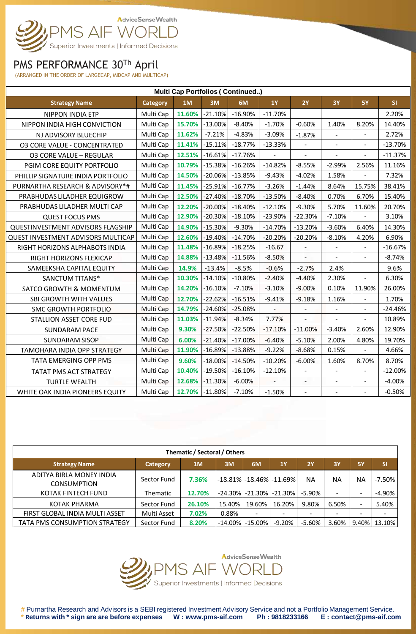

### PMS PERFORMANCE 30Th April

(ARRANGED IN THE ORDER OF LARGECAP, MIDCAP AND MULTICAP)

| <b>Multi Cap Portfolios (Continued)</b> |                 |        |           |           |           |                |                          |                          |           |  |  |
|-----------------------------------------|-----------------|--------|-----------|-----------|-----------|----------------|--------------------------|--------------------------|-----------|--|--|
| <b>Strategy Name</b>                    | <b>Category</b> | 1M     | 3M        | 6M        | <b>1Y</b> | 2Y             | <b>3Y</b>                | <b>5Y</b>                | SI        |  |  |
| <b>NIPPON INDIA ETP</b>                 | Multi Cap       | 11.60% | $-21.10%$ | $-16.90%$ | $-11.70%$ |                |                          |                          | 2.20%     |  |  |
| NIPPON INDIA HIGH CONVICTION            | Multi Cap       | 15.70% | $-13.00%$ | $-8.40%$  | $-1.70%$  | $-0.60%$       | 1.40%                    | 8.20%                    | 14.40%    |  |  |
| NJ ADVISORY BLUECHIP                    | Multi Cap       | 11.62% | $-7.21%$  | $-4.83%$  | $-3.09%$  | $-1.87%$       | $\blacksquare$           | $\overline{\phantom{0}}$ | 2.72%     |  |  |
| <b>03 CORE VALUE - CONCENTRATED</b>     | Multi Cap       | 11.41% | $-15.11%$ | $-18.77%$ | $-13.33%$ |                |                          |                          | $-13.70%$ |  |  |
| <b>03 CORE VALUE - REGULAR</b>          | Multi Cap       | 12.51% | $-16.61%$ | $-17.76%$ |           |                | $\overline{\phantom{a}}$ | $\overline{a}$           | $-11.37%$ |  |  |
| PGIM CORE EQUITY PORTFOLIO              | Multi Cap       | 10.79% | $-15.38%$ | $-16.26%$ | $-14.82%$ | $-8.55%$       | $-2.99%$                 | 2.56%                    | 11.16%    |  |  |
| PHILLIP SIGNATURE INDIA PORTFOLIO       | Multi Cap       | 14.50% | $-20.06%$ | $-13.85%$ | $-9.43%$  | $-4.02%$       | 1.58%                    |                          | 7.32%     |  |  |
| PURNARTHA RESEARCH & ADVISORY*#         | Multi Cap       | 11.45% | $-25.91%$ | $-16.77%$ | $-3.26%$  | $-1.44%$       | 8.64%                    | 15.75%                   | 38.41%    |  |  |
| PRABHUDAS LILADHER EQUIGROW             | Multi Cap       | 12.50% | $-27.40%$ | $-18.70%$ | $-13.50%$ | $-8.40%$       | 0.70%                    | 6.70%                    | 15.40%    |  |  |
| PRABHUDAS LILADHER MULTI CAP            | Multi Cap       | 12.20% | $-20.00%$ | $-18.40%$ | $-12.10%$ | $-9.30%$       | 5.70%                    | 11.60%                   | 20.70%    |  |  |
| <b>QUEST FOCUS PMS</b>                  | Multi Cap       | 12.90% | $-20.30%$ | $-18.10%$ | $-23.90%$ | $-22.30%$      | $-7.10%$                 |                          | 3.10%     |  |  |
| QUESTINVESTMENT ADVISORS FLAGSHIP       | Multi Cap       | 14.90% | $-15.30%$ | $-9.30%$  | $-14.70%$ | $-13.20%$      | $-3.60%$                 | 6.40%                    | 14.30%    |  |  |
| QUEST INVESTMENT ADVISORS MULTICAP      | Multi Cap       | 12.60% | $-19.40%$ | $-14.70%$ | $-20.20%$ | $-20.20%$      | $-8.10%$                 | 4.20%                    | 6.90%     |  |  |
| RIGHT HORIZONS ALPHABOTS INDIA          | Multi Cap       | 11.48% | $-16.89%$ | $-18.25%$ | $-16.67$  | $\overline{a}$ | $\overline{a}$           | ÷,                       | $-16.67%$ |  |  |
| RIGHT HORIZONS FLEXICAP                 | Multi Cap       | 14.88% | $-13.48%$ | $-11.56%$ | $-8.50%$  |                |                          |                          | $-8.74%$  |  |  |
| SAMEEKSHA CAPITAL EQUITY                | Multi Cap       | 14.9%  | $-13.4%$  | $-8.5%$   | $-0.6%$   | $-2.7%$        | 2.4%                     |                          | 9.6%      |  |  |
| <b>SANCTUM TITANS*</b>                  | Multi Cap       | 10.30% | $-14.10%$ | $-10.80%$ | $-2.40%$  | $-4.40%$       | 2.30%                    | $\overline{a}$           | 6.30%     |  |  |
| <b>SATCO GROWTH &amp; MOMENTUM</b>      | Multi Cap       | 14.20% | $-16.10%$ | $-7.10%$  | $-3.10%$  | $-9.00%$       | 0.10%                    | 11.90%                   | 26.00%    |  |  |
| SBI GROWTH WITH VALUES                  | Multi Cap       | 12.70% | $-22.62%$ | $-16.51%$ | $-9.41%$  | $-9.18%$       | 1.16%                    | $\overline{a}$           | 1.70%     |  |  |
| <b>SMC GROWTH PORTFOLIO</b>             | Multi Cap       | 14.79% | $-24.60%$ | $-25.08%$ |           |                | $\overline{a}$           | $\blacksquare$           | $-24.46%$ |  |  |
| <b>STALLION ASSET CORE FUD</b>          | Multi Cap       | 11.03% | $-11.94%$ | $-8.34%$  | 7.77%     |                |                          |                          | 10.89%    |  |  |
| <b>SUNDARAM PACE</b>                    | Multi Cap       | 9.30%  | $-27.50%$ | $-22.50%$ | $-17.10%$ | $-11.00%$      | $-3.40%$                 | 2.60%                    | 12.90%    |  |  |
| <b>SUNDARAM SISOP</b>                   | Multi Cap       | 6.00%  | $-21.40%$ | $-17.00%$ | $-6.40%$  | $-5.10%$       | 2.00%                    | 4.80%                    | 19.70%    |  |  |
| TAMOHARA INDIA OPP STRATEGY             | Multi Cap       | 11.90% | $-16.89%$ | $-13.88%$ | $-9.22%$  | $-8.68%$       | 0.15%                    | ÷,                       | 4.66%     |  |  |
| TATA EMERGING OPP PMS                   | Multi Cap       | 9.60%  | $-18.00%$ | $-14.50%$ | $-10.20%$ | $-6.00%$       | 1.60%                    | 8.70%                    | 8.70%     |  |  |
| TATAT PMS ACT STRATEGY                  | Multi Cap       | 10.40% | $-19.50%$ | $-16.10%$ | $-12.10%$ | $\overline{a}$ | $\overline{a}$           | $\overline{a}$           | $-12.00%$ |  |  |
| <b>TURTLE WEALTH</b>                    | Multi Cap       | 12.68% | $-11.30%$ | $-6.00%$  |           |                | $\overline{a}$           |                          | $-4.00%$  |  |  |
| WHITE OAK INDIA PIONEERS EQUITY         | Multi Cap       | 12.70% | $-11.80%$ | $-7.10%$  | $-1.50%$  |                |                          | $\blacksquare$           | $-0.50%$  |  |  |

| Thematic / Sectoral / Others                   |                 |        |         |                          |                                                                           |           |           |                          |           |  |  |  |
|------------------------------------------------|-----------------|--------|---------|--------------------------|---------------------------------------------------------------------------|-----------|-----------|--------------------------|-----------|--|--|--|
| <b>Strategy Name</b>                           | <b>Category</b> | 1M     | 3M      | 6M                       | 1Y                                                                        | 2Y        | <b>3Y</b> | <b>5Y</b>                | <b>SI</b> |  |  |  |
| ADITYA BIRLA MONEY INDIA<br><b>CONSUMPTION</b> | Sector Fund     | 7.36%  |         |                          | $\left  \text{-}18.81\% \right $ -18.46% $\left  \text{-}11.69\% \right $ | <b>NA</b> | ΝA        | ΝA                       | $-7.50\%$ |  |  |  |
| KOTAK FINTECH FUND                             | Thematic        | 12.70% |         | -24.30% -21.30% -21.30%  |                                                                           | $-5.90\%$ |           | $\overline{\phantom{0}}$ | $-4.90%$  |  |  |  |
| KOTAK PHARMA                                   | Sector Fund     | 26.10% | 15.40%  | 19.60% l                 | 16.20%                                                                    | 9.80%     | 6.50%     | $\overline{a}$           | 5.40%     |  |  |  |
| FIRST GLOBAL INDIA MULTI ASSET                 | Multi Asset     | 7.02%  | 0.88%   | $\overline{\phantom{0}}$ | -                                                                         |           |           | $\overline{\phantom{0}}$ |           |  |  |  |
| TATA PMS CONSUMPTION STRATEGY                  | Sector Fund     | 8.20%  | -14.00% | l -15.00% l              | -9.20%                                                                    | $-5.60%$  | 3.60%     | 9.40%                    | 13.10%    |  |  |  |



# Purnartha Research and Advisors is a SEBI registered Investment Advisory Service and not a Portfolio Management Service.<br>\* Returns with \* sign are are before expenses W: www.pms-aif.com Ph: 9818233166 E: contact@pms-aif. \* Returns with \* sign are are before expenses W : www.pms-aif.com Ph : 9818233166